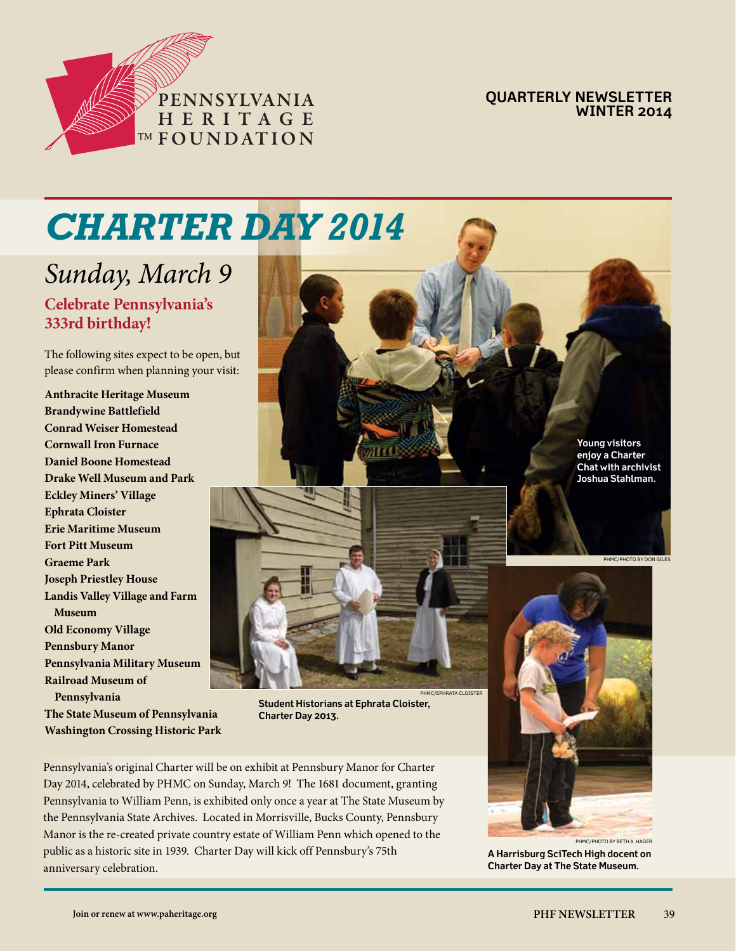

**Quarterly Newsletter Winter 2014**

# *CHARTER DAY 2014*

# **Celebrate Pennsylvania's 333rd birthday!** *Sunday, March 9*

The following sites expect to be open, but please confirm when planning your visit:

**Anthracite Heritage Museum Brandywine Battlefield Conrad Weiser Homestead Cornwall Iron Furnace Daniel Boone Homestead Drake Well Museum and Park Eckley Miners' Village Ephrata Cloister Erie Maritime Museum Fort Pitt Museum Graeme Park Joseph Priestley House Landis Valley Village and Farm Museum Old Economy Village Pennsbury Manor Pennsylvania Military Museum Railroad Museum of Pennsylvania The State Museum of Pennsylvania Washington Crossing Historic Park**



phmc/ephrata cloister

**Student Historians at Ephrata Cloister, Charter Day 2013.**

Pennsylvania's original Charter will be on exhibit at Pennsbury Manor for Charter Day 2014, celebrated by PHMC on Sunday, March 9! The 1681 document, granting Pennsylvania to William Penn, is exhibited only once a year at The State Museum by the Pennsylvania State Archives. Located in Morrisville, Bucks County, Pennsbury Manor is the re-created private country estate of William Penn which opened to the public as a historic site in 1939. Charter Day will kick off Pennsbury's 75th anniversary celebration.

**enjoy a Charter Chat with archivist Joshua Stahlman.**



**A Harrisburg SciTech High docent on Charter Day at The State Museum.**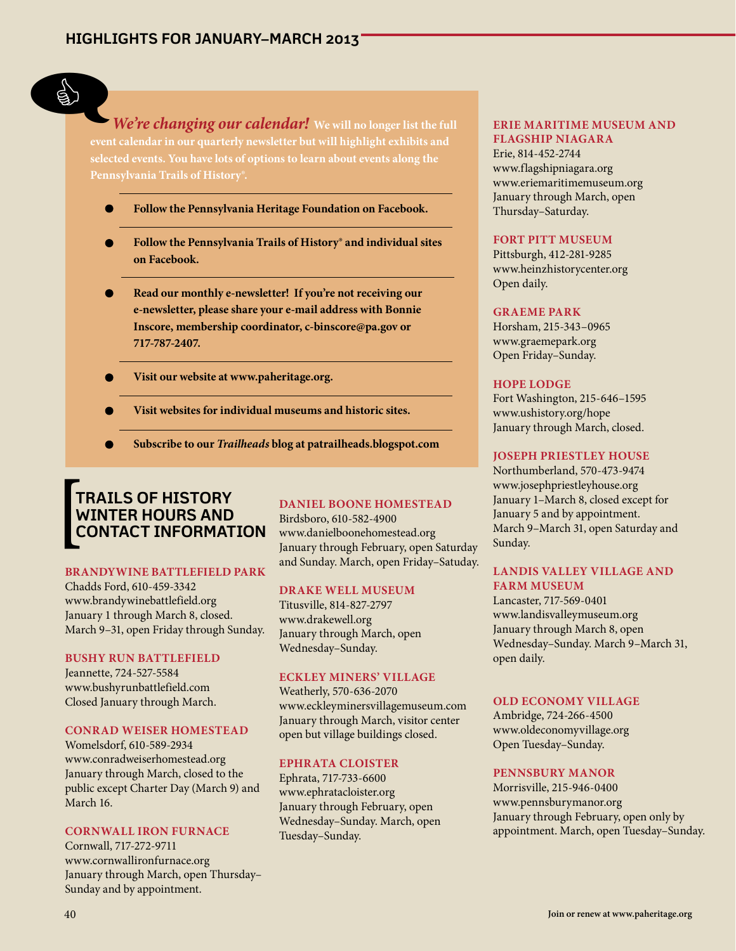

*We're changing our calendar!* **We will no longer list the full event calendar in our quarterly newsletter but will highlight exhibits and selected events. You have lots of options to learn about events along the Pennsylvania Trails of History®.** ED We're

- **Follow the Pennsylvania Heritage Foundation on Facebook.**
- **Follow the Pennsylvania Trails of History® and individual sites on Facebook.**
- **Read our monthly e-newsletter! If you're not receiving our e-newsletter, please share your e-mail address with Bonnie Inscore, membership coordinator, c-binscore@pa.gov or 717-787-2407.**
- **Visit our website at www.paheritage.org.**
- **Visit websites for individual museums and historic sites.**
- **Subscribe to our** *Trailheads* **blog at patrailheads.blogspot.com**

# **Trails of History WINTER HOURS AN contact information [**

#### **BRANDYWINE BATTLEFIELD PARK**

Chadds Ford, 610-459-3342 www.brandywinebattlefield.org January 1 through March 8, closed. March 9–31, open Friday through Sunday.

#### **BUSHY RUN BATTLEFIELD**

Jeannette, 724-527-5584 www.bushyrunbattlefield.com Closed January through March.

#### **CONRAD WEISER HOMESTEAD**

Womelsdorf, 610-589-2934 www.conradweiserhomestead.org January through March, closed to the public except Charter Day (March 9) and March 16.

## **CORNWALL IRON FURNACE**

Cornwall, 717-272-9711 www.cornwallironfurnace.org January through March, open Thursday– Sunday and by appointment.

# **DANIEL BOONE HOMESTEAD**

Birdsboro, 610-582-4900 www.danielboonehomestead.org January through February, open Saturday and Sunday. March, open Friday–Satuday.

#### **DRAKE WELL MUSEUM**

Titusville, 814-827-2797 www.drakewell.org January through March, open Wednesday–Sunday.

# **ECKLEY MINERS' VILLAGE**

Weatherly, 570-636-2070 www.eckleyminersvillagemuseum.com January through March, visitor center open but village buildings closed.

#### **EPHRATA CLOISTER**

Ephrata, 717-733-6600 www.ephratacloister.org January through February, open Wednesday–Sunday. March, open Tuesday–Sunday.

# **ERIE MARITIME MUSEUM AND FLAGSHIP NIAGARA**

Erie, 814-452-2744 www.flagshipniagara.org www.eriemaritimemuseum.org January through March, open Thursday–Saturday.

#### **FORT PITT MUSEUM**

Pittsburgh, 412-281-9285 www.heinzhistorycenter.org Open daily.

#### **GRAEME PARK**

Horsham, 215-343–0965 www.graemepark.org Open Friday–Sunday.

#### **HOPE LODGE**

Fort Washington, 215-646–1595 www.ushistory.org/hope January through March, closed.

# **JOSEPH PRIESTLEY HOUSE**

Northumberland, 570-473-9474 www.josephpriestleyhouse.org January 1–March 8, closed except for January 5 and by appointment. March 9–March 31, open Saturday and Sunday.

# **LANDIS VALLEY VILLAGE AND FARM MUSEUM**

Lancaster, 717-569-0401 www.landisvalleymuseum.org January through March 8, open Wednesday–Sunday. March 9–March 31, open daily.

#### **OLD ECONOMY VILLAGE**

Ambridge, 724-266-4500 www.oldeconomyvillage.org Open Tuesday–Sunday.

# **PENNSBURY MANOR**

Morrisville, 215-946-0400 www.pennsburymanor.org January through February, open only by appointment. March, open Tuesday–Sunday.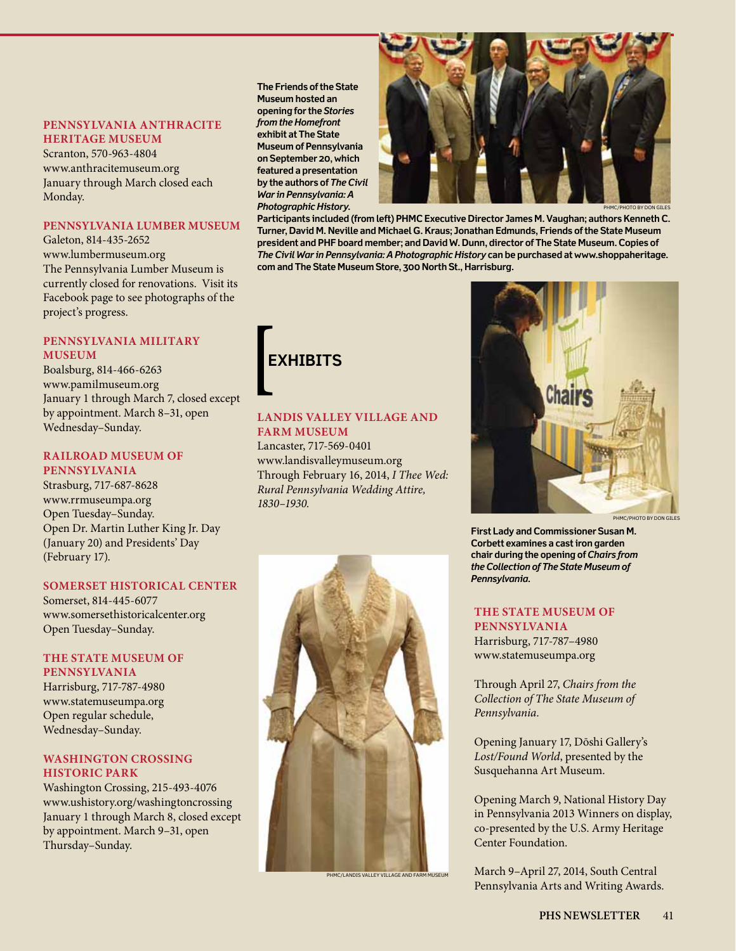# **PENNSYLVANIA ANTHRACITE HERITAGE MUSEUM**

Scranton, 570-963-4804 www.anthracitemuseum.org January through March closed each Monday.

## **PENNSYLVANIA LUMBER MUSEUM**

Galeton, 814-435-2652 www.lumbermuseum.org The Pennsylvania Lumber Museum is currently closed for renovations. Visit its Facebook page to see photographs of the project's progress.

#### **PENNSYLVANIA MILITARY MUSEUM**

Boalsburg, 814-466-6263 www.pamilmuseum.org January 1 through March 7, closed except by appointment. March 8–31, open Wednesday–Sunday.

# **RAILROAD MUSEUM OF**

**PENNSYLVANIA** Strasburg, 717-687-8628 www.rrmuseumpa.org Open Tuesday–Sunday. Open Dr. Martin Luther King Jr. Day (January 20) and Presidents' Day (February 17).

#### **SOMERSET HISTORICAL CENTER**

Somerset, 814-445-6077 www.somersethistoricalcenter.org Open Tuesday–Sunday.

#### **THE STATE MUSEUM OF PENNSYLVANIA**

Harrisburg, 717-787-4980 www.statemuseumpa.org Open regular schedule, Wednesday–Sunday.

## **WASHINGTON CROSSING HISTORIC PARK**

Washington Crossing, 215-493-4076 www.ushistory.org/washingtoncrossing January 1 through March 8, closed except by appointment. March 9–31, open Thursday–Sunday.

**The Friends of the State Museum hosted an opening for the** *Stories from the Homefront* **exhibit at The State Museum of Pennsylvania on September 20, which featured a presentation by the authors of** *The Civil War in Pennsylvania: A Photographic History***.** 



PHMC/photo by Don giles

**Participants included (from left) PHMC Executive Director James M. Vaughan; authors Kenneth C. Turner, David M. Neville and Michael G. Kraus; Jonathan Edmunds, Friends of the State Museum president and PHF board member; and David W. Dunn, director of The State Museum. Copies of**  *The Civil War in Pennsylvania: A Photographic History* **can be purchased at www.shoppaheritage. com and The State Museum Store, 300 North St., Harrisburg.**



# **LANDIS VALLEY village and farm MUSEUM**

Lancaster, 717-569-0401 www.landisvalleymuseum.org Through February 16, 2014, *I Thee Wed: Rural Pennsylvania Wedding Attire, 1830–1930.*



PHMC/LANDIS VALLEY VILLAGE AND FA



**First Lady and Commissioner Susan M. Corbett examines a cast iron garden chair during the opening of** *Chairs from the Collection of The State Museum of Pennsylvania***.**

#### **THE STATE MUSEUM OF PENNSYLVANIA**

Harrisburg, 717-787–4980 www.statemuseumpa.org

Through April 27, *Chairs from the Collection of The State Museum of Pennsylvania.*

Opening January 17, Dōshi Gallery's *Lost/Found World*, presented by the Susquehanna Art Museum.

Opening March 9, National History Day in Pennsylvania 2013 Winners on display, co-presented by the U.S. Army Heritage Center Foundation.

March 9–April 27, 2014, South Central Pennsylvania Arts and Writing Awards.